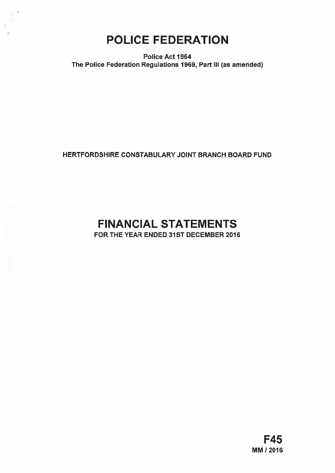## POLICE FEDERATION

Police Act 1964 The Police Federation Regulations 1969, Part III (as amended)

HERTFORDSHIRE CONSTABULARY JOINT BRANCH BOARD FUND

# FINANCIAL STATEMENTS

FOR THE YEAR ENDED 31ST DECEMBER 2016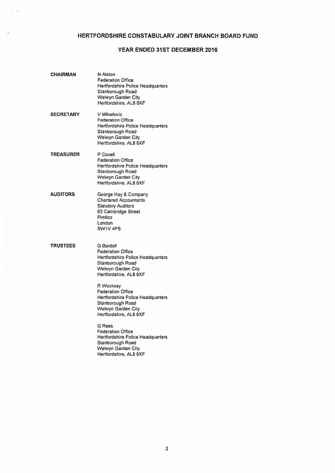## HERTFORDSHIRE CONSTABULARY JOINT BRANCH BOARD FUND

## YEAR ENDED 31ST DECEMBER 2016

| CHAIRMAN        | <b>N</b> Alston<br><b>Federation Office</b><br><b>Hertfordshire Police Headquarters</b><br>Stanborough Road<br>Welwyn Garden City<br>Hertfordshire, AL8 6XF |
|-----------------|-------------------------------------------------------------------------------------------------------------------------------------------------------------|
| SECRETARY       | V Mihailovic<br><b>Federation Office</b><br>Hertfordshire Police Headquarters<br>Stanborough Road<br>Welwyn Garden City<br>Hertfordshire, AL8 6XF           |
| TREASURER       | P Coxall<br><b>Federation Office</b><br><b>Hertfordshire Police Headquarters</b><br>Stanborough Road<br>Welwyn Garden City<br>Hertfordshire, AL8 6XF        |
| <b>AUDITORS</b> | George Hay & Company<br><b>Chartered Accountants</b><br><b>Statutory Auditors</b><br>83 Cambridge Street<br>Pimlico<br>London<br>SW1V <sub>4PS</sub>        |
| TRUSTEES        | <b>G</b> Bardell<br><b>Federation Office</b><br>Hertfordshire Police Headquarters<br>Stanborough Road<br>Welwyn Garden City<br>Hertfordshire, AL8 6XF       |
|                 | R Woolway<br><b>Federation Office</b><br><b>Hertfordshire Police Headquarters</b><br>Stanborough Road<br>Welwyn Garden City<br>Hertfordshire, AL8 6XF       |
|                 | <b>G</b> Rees<br><b>Federation Office</b><br><b>Hertfordshire Police Headquarters</b><br>Stanborough Road<br>Welwyn Garden City<br>Hertfordshire, AL8 6XF   |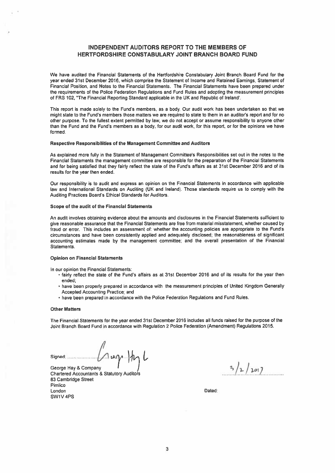## INDEPENDENT AUDITORS REPORT TO THE MEMBERS OF HERTFORDSHIRE CONSTABULARY JOINT BRANCH BOARD FUND

We have audited the Financial Statements of the Hertfordshire Constabulary Joint Branch Board Fund for the year ended 31st December 2015, which comprise the Statement of Income and Retained Earnings, Statement of Financial Position, and Notes to the Financial Statements, The Financial Statements have been prepared under the requirements of the Police Federation Regulations and Fund Rules and adopting the measurement principles of FRS 102, "The Financial Reporling Standard applicable in the UK and Republic of Ireland'.

This repor<sup>t</sup> is made solely to the Fund's members, as <sup>a</sup> body. Our audit work has been undertaken so that we might state to the Fund's members those matters we are required to state to them in an auditor's repor<sup>t</sup> and for no other purpose. To the fullest extent permitted by law, we do not accep<sup>t</sup> or assume responsibility to anyone other than the Fund and the Fund's members as <sup>a</sup> body, for our audit work, for this report, or for the opinions we have formed.

#### Respective Responsibilities of the Management Committee and Auditors

As explained more fully in the Statement of Management Committee's Responsibilities set out in the notes to the Financial Statements the managemen<sup>t</sup> committee are responsible for the preparation of the Financial Statements and for being satisfied that they fairly reflect the state of the Fund's affairs as at 31st December 2016 and of its results for the year then ended.

Our responsibility is to audit and express an opinion on the Financial Statements in accordance with applicable law and International Standards on Auditing (UK and Ireland). Those standards require us to comply with the Auditing Practices Board's Ethical Standards for Auditors.

#### Scope of the audit of the Financial Statements

An audit involves obtaining evidence about the amounts and disclosures in the Financial Statements sufficient to give reasonable assurance that the Financial Statements are free from material misstatement, whether caused by fraud or error, This includes an assessment of: whether the accounting policies are appropriate to the Fund's circumstances and have been consistently applied and adequately disclosed; the reasonableness of significant accounting estimates made by the managemen<sup>t</sup> committee; and the overall presentation of the Financial Statements.

#### Opinion on Financial Statements

In our opinion the Financial Statements:

- fairly reflect the state of the Fund's affairs as at 31st December 2016 and of its results for the year then ended;
- have been properly prepared in accordance with the measurement principles of United Kingdom Generally Accepted Accounting Practice: and
- have been prepared in accordance with the Police Federation Regulations and Fund Rules.

#### Other Matters

The Financial Statements for the year ended 31st December 2015 includes all funds raised for the purpose of the Joint Branch Board Fund in accordance with Regulation 2 Police Federation (Amendment) Regulations 2015.

Signed:  $\bigcup_{\text{George Hay 8 Company}} \bigcap_{\mathcal{M}} \mathcal{M} \bigcap_{\mathcal{M}} \mathcal{M}$ 

George Hay & Company  $\begin{pmatrix} 1 & 1 \ 1 & 1 \end{pmatrix}$ <br>Chartered Accountants & Statutory Auditors 83 Cambridge Street Pimlico London Dated: SW1V 4PS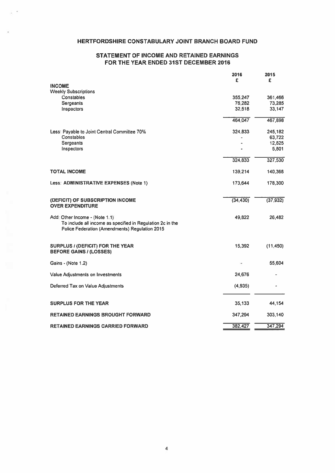## HERTFORDSHIRE CONSTABULARY JOINT BRANCH BOARD FUND

## STATEMENT OF INCOME AND RETAINED EARNINGS FOR THE YEAR ENDED 31ST DECEMBER 2016

|                                                                                                                                                | 2016      | 2015      |
|------------------------------------------------------------------------------------------------------------------------------------------------|-----------|-----------|
| <b>INCOME</b>                                                                                                                                  | £         | £         |
| <b>Weekly Subscriptions</b>                                                                                                                    |           |           |
| Constables                                                                                                                                     | 355,247   | 361,466   |
| Sergeants                                                                                                                                      | 76,282    | 73,285    |
| Inspectors                                                                                                                                     | 32,518    | 33,147    |
|                                                                                                                                                | 464,047   | 467,898   |
| Less: Payable to Joint Central Committee 70%                                                                                                   | 324,833   | 245,182   |
| Constables                                                                                                                                     |           | 63,722    |
| Sergeants                                                                                                                                      |           | 12,825    |
| Inspectors                                                                                                                                     |           | 5,801     |
|                                                                                                                                                | 324,833   | 327,530   |
| <b>TOTAL INCOME</b>                                                                                                                            | 139,214   | 140,368   |
| Less: ADMINISTRATIVE EXPENSES (Note 1)                                                                                                         | 173,644   | 178,300   |
| (DEFICIT) OF SUBSCRIPTION INCOME<br><b>OVER EXPENDITURE</b>                                                                                    | (34, 430) | (37, 932) |
| Add: Other Income - (Note 1.1)<br>To include all income as specified in Regulation 2c in the<br>Police Federation (Amendments) Regulation 2015 | 49,822    | 26,482    |
| SURPLUS / (DEFICIT) FOR THE YEAR<br><b>BEFORE GAINS / (LOSSES)</b>                                                                             | 15,392    | (11, 450) |
| Gains - (Note 1.2)                                                                                                                             |           | 55,604    |
| Value Adjustments on Investments                                                                                                               | 24,676    |           |
| Deferred Tax on Value Adjustments                                                                                                              | (4,935)   |           |
| <b>SURPLUS FOR THE YEAR</b>                                                                                                                    | 35,133    | 44,154    |
| RETAINED EARNINGS BROUGHT FORWARD                                                                                                              | 347,294   | 303,140   |
| RETAINED EARNINGS CARRIED FORWARD                                                                                                              | 382,427   | 347,294   |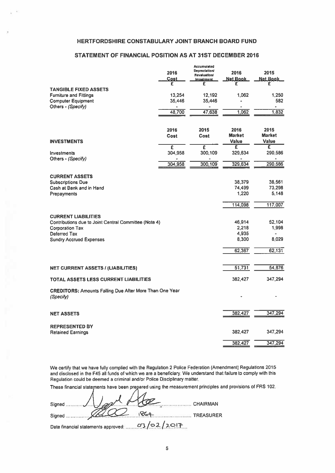## HERTFORDSHIRE CONSTABULARY JOINT BRANCH BOARD FUND

## STATEMENT OF FINANCIAL POSITION AS AT 31ST DECEMBER 2016

|                                                                             | 2016<br>Cost<br>£ | Accumulated<br><b>Depreciation/</b><br><b>Revaluation/</b><br><b>Impairment</b><br>£ | 2016<br><b>Net Book</b><br>£ | 2015<br><b>Net Book</b><br>£ |
|-----------------------------------------------------------------------------|-------------------|--------------------------------------------------------------------------------------|------------------------------|------------------------------|
| <b>TANGIBLE FIXED ASSETS</b>                                                |                   |                                                                                      |                              |                              |
| <b>Furniture and Fittings</b>                                               | 13,254            | 12,192                                                                               | 1,062                        | 1,250                        |
| <b>Computer Equipment</b>                                                   | 35,446            | 35,446                                                                               |                              | 582                          |
| Others - (Specify)                                                          | 48,700            | 47,638                                                                               | ٠<br>1,062                   | ٠<br>1,832                   |
|                                                                             | 2016              | 2015                                                                                 | 2016                         | 2015                         |
|                                                                             | Cost              | Cost                                                                                 | <b>Market</b>                | <b>Market</b>                |
| <b>INVESTMENTS</b>                                                          |                   |                                                                                      | <b>Value</b>                 | Value                        |
|                                                                             | £                 | £                                                                                    | £                            | £                            |
| Investments<br>Others - (Specify)                                           | 304,958           | 300,109                                                                              | 329,634                      | 290,586                      |
|                                                                             | 304,958           | 300,109                                                                              | 329,634                      | 290,586                      |
| <b>CURRENT ASSETS</b>                                                       |                   |                                                                                      |                              |                              |
| <b>Subscriptions Due</b>                                                    |                   |                                                                                      | 38,379                       | 38,561                       |
| Cash at Bank and in Hand                                                    |                   |                                                                                      | 74,499                       | 73,298                       |
| Prepayments                                                                 |                   |                                                                                      | 1,220                        | 5,148                        |
|                                                                             |                   |                                                                                      | 114,098                      | 117,007                      |
| <b>CURRENT LIABILITIES</b>                                                  |                   |                                                                                      |                              |                              |
| Contributions due to Joint Central Committee (Note 4)                       |                   |                                                                                      | 46,914                       | 52,104                       |
| <b>Corporation Tax</b>                                                      |                   |                                                                                      | 2,218                        | 1,998                        |
| Deferred Tax                                                                |                   |                                                                                      | 4,935                        |                              |
| <b>Sundry Accrued Expenses</b>                                              |                   |                                                                                      | 8,300                        | 8,029                        |
|                                                                             |                   |                                                                                      | 62,367                       | 62,131                       |
|                                                                             |                   |                                                                                      |                              |                              |
| <b>NET CURRENT ASSETS / (LIABILITIES)</b>                                   |                   |                                                                                      | 51,731                       | 54,876                       |
| TOTAL ASSETS LESS CURRENT LIABILITIES                                       |                   |                                                                                      | 382,427                      | 347.294                      |
| <b>CREDITORS: Amounts Falling Due After More Than One Year</b><br>(Specify) |                   |                                                                                      |                              |                              |
| <b>NET ASSETS</b>                                                           |                   |                                                                                      | 382,427                      | 347,294                      |
|                                                                             |                   |                                                                                      |                              |                              |
| <b>REPRESENTED BY</b><br><b>Retained Earnings</b>                           |                   |                                                                                      | 382,427                      | 347,294                      |
|                                                                             |                   |                                                                                      |                              |                              |
|                                                                             |                   |                                                                                      | 382,427                      | 347,294                      |

We certify that we have fully complied with the Regulation <sup>2</sup> Police Federation (Amendment) Regulations <sup>2015</sup> and disclosed in the F45 all funds of which we are <sup>a</sup> beneficiary. We understand that failure to comply with this Regulation could be deemed <sup>a</sup> criminal and/or Police Disciplinary matter

These financial statements have been prepared using the measurement principles and provisions of FRS 102.

| signed 1 pml fle                               |          |
|------------------------------------------------|----------|
|                                                | CHAIRMAN |
|                                                |          |
| Date financial statements approved: 03/02/2017 |          |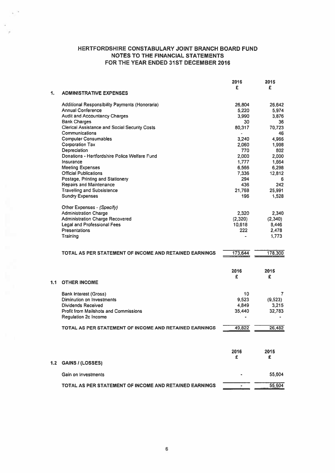|     |                                                               | 2016    | 2015     |
|-----|---------------------------------------------------------------|---------|----------|
|     |                                                               | £       | £        |
| 1.  | <b>ADMINISTRATIVE EXPENSES</b>                                |         |          |
|     | Additional Responsibility Payments (Honoraria)                | 26,804  | 26.642   |
|     | <b>Annual Conference</b>                                      | 5,220   | 5,974    |
|     | <b>Audit and Accountancy Charges</b>                          | 3,990   | 3,876    |
|     | <b>Bank Charges</b>                                           | 30      | 36       |
|     | <b>Clerical Assistance and Social Security Costs</b>          | 80,317  | 70,723   |
|     | Communications                                                |         | 46       |
|     | <b>Computer Consumables</b>                                   | 3,240   | 4.965    |
|     | <b>Corporation Tax</b>                                        |         |          |
|     |                                                               | 2,060   | 1,998    |
|     | Depreciation<br>Donations - Hertfordshire Police Welfare Fund | 770     | 802      |
|     |                                                               | 2,000   | 2,000    |
|     | Insurance                                                     | 1,777   | 1,664    |
|     | <b>Meeting Expenses</b>                                       | 6,566   | 6,298    |
|     | <b>Official Publications</b>                                  | 7,336   | 12,812   |
|     | Postage, Printing and Stationery                              | 294     | 6        |
|     | <b>Repairs and Maintenance</b>                                | 436     | 242      |
|     | <b>Travelling and Subsistence</b>                             | 21,768  | 25,991   |
|     | <b>Sundry Expenses</b>                                        | 196     | 1,528    |
|     |                                                               |         |          |
|     | Other Expenses - (Specify)                                    |         |          |
|     | <b>Administration Charge</b>                                  | 2,320   | 2,340    |
|     | <b>Administration Charge Recovered</b>                        | (2,320) | (2,340)  |
|     | <b>Legal and Professional Fees</b>                            | 10,618  | 8,446    |
|     | <b>Presentations</b>                                          | 222     | 2,478    |
|     | Training                                                      |         | 1.773    |
|     |                                                               |         |          |
|     |                                                               |         |          |
|     | TOTAL AS PER STATEMENT OF INCOME AND RETAINED EARNINGS        | 173,644 | 178,300  |
|     |                                                               |         |          |
|     |                                                               |         |          |
|     |                                                               | 2016    | 2015     |
|     |                                                               | £       | £        |
| 1.1 | <b>OTHER INCOME</b>                                           |         |          |
|     |                                                               |         |          |
|     | <b>Bank Interest (Gross)</b>                                  | 10      | 7        |
|     | Diminution on Investments                                     | 9,523   | (9, 523) |
|     | <b>Dividends Received</b>                                     | 4,849   | 3.215    |
|     | <b>Profit from Mailshots and Commissions</b>                  | 35,440  | 32,783   |
|     | Regulation 2c Income                                          | ä       |          |
|     |                                                               |         |          |
|     | TOTAL AS PER STATEMENT OF INCOME AND RETAINED EARNINGS        | 49,822  | 26,482   |
|     |                                                               |         |          |
|     |                                                               |         |          |
|     |                                                               |         |          |
|     |                                                               | 2016    | 2015     |
|     |                                                               | £       | £        |
| 1.2 | <b>GAINS / (LOSSES)</b>                                       |         |          |
|     |                                                               |         |          |
|     | Gain on Investments                                           |         | 55,604   |
|     |                                                               |         |          |
|     | TOTAL AS PER STATEMENT OF INCOME AND RETAINED EARNINGS        |         | 55,604   |
|     |                                                               |         |          |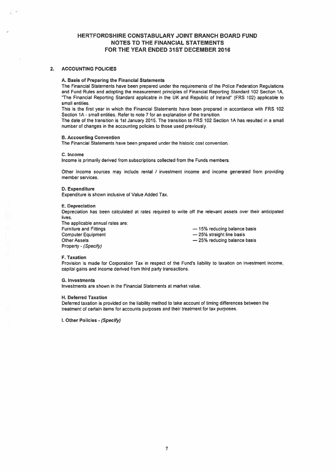#### 2. ACCOUNTING POLICIES

#### A. Basis of Preparing the Financial Statements

The Financial Statements have been prepared under the requirements of the Police Federation Regulations and Fund Rules and adopting the measurement principles of Financial Reporting Standard 102 Section 1A, "The Financial Reporting Standard applicable in the UK and Republic of Ireland" (FRS 102) applicable to small entities.

This is the first year in which the Financial Statements have been prepared in accordance with FRS 102 Section 1A -small entities. Refer to note 7 for an explanation of the transition.

The date of the transition is 1st January 2015. The transition to FRS 102 Section 1A has resulted in <sup>a</sup> small number of changes in the accounting policies to those used previously.

#### B. Accounting Convention

The Financial Statements have been prepared under the historic cost convention.

#### C. Income

Income is primarily derived from subscriptions collected from the Funds members.

Other income sources may include rental / investment income and income generated from providing member services,

#### 0. Expenditure

Expenditure is shown inclusive of Value Added Tax.

#### E. Depreciation

Depreciation has been calculated at rates required to write off the relevant assets over their anticipated lives.

The applicable annual rates are: Furniture and Fittings — 15% reducing balance basis Computer Equipment **Example 25%** straight line basis Other Assets **Example 25% reducing balance basis** — 25% reducing balance basis Property - (Specify)

#### F. Taxation

Provision is made for Corporation Tax in respec<sup>t</sup> of the Fund's liability to taxation on investment income, capital gains and income derived from third party transactions.

#### S. Investments

Investments are shown in the Financial Statements at market value.

#### H. Deferred Taxation

Deferred taxation is provided on the liability method to take account of timing differences between the treatment of certain items for accounts purposes and their treatment for tax purposes.

I. Other Policies - (Specify)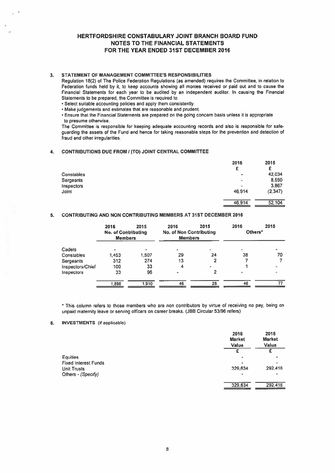## 3. STATEMENT OF MANAGEMENT COMMITTEE'S RESPONSIBILITIES

Regulation 18(2) of The Police Federation Regulations (as amended) requires the Committee, in relation to Federation funds held by it, to keep accounts showing all monies received or paid out and to cause the Financial Statements for each year to be audited by an independent auditor. In causing the Financial Statements to be prepared, the Committee is required to:

• Select suitable accounting policies and apply them consistently.

• Make judgements and estimates that are reasonable and prudent.

• Ensure that the Financial Statements are prepared on the going concern basis unless it is appropriate to presume otherwise.

The Committee is responsible for keeping adequate accounting records and also is responsible for safeguarding the assets of the Fund and hence for taking reasonable steps for the prevention and detection of fraud and other irregularities.

#### 4. CONTRIBUTIONS DUE FROM I (TO) JOINT CENTRAL COMMITTEE

|                  | 2016                         | 2015     |
|------------------|------------------------------|----------|
|                  | £                            | £        |
| Constables       | $\qquad \qquad \blacksquare$ | 42.034   |
| <b>Sergeants</b> | ÷                            | 8,550    |
| Inspectors       | $\overline{\phantom{a}}$     | 3.867    |
| Joint            | 46,914                       | (2, 347) |
|                  | 46,914                       | 52.104   |

## 5. CONTRIBUTING AND NON CONTRIBUTING MEMBERS AT 31ST DECEMBER 2016

|                  | 2016<br><b>No. of Contributing</b><br><b>Members</b> | 2015  | 2016<br><b>No. of Non Contributing</b><br><b>Members</b> | 2015 | 2016<br>Others*          | 2015 |
|------------------|------------------------------------------------------|-------|----------------------------------------------------------|------|--------------------------|------|
| Cadets           |                                                      |       | ÷                                                        | ۰    | $\overline{\phantom{a}}$ |      |
| Constables       | 1,453                                                | 1,507 | 29                                                       | 24   | 38                       | 70   |
| Sergeants        | 312                                                  | 274   | 13                                                       |      |                          |      |
| Inspectors/Chief | 100                                                  | 33    | 4                                                        |      |                          |      |
| Inspectors       | 33                                                   | 96    |                                                          |      | ۰                        |      |
|                  | 898,1                                                | 1,910 | 46                                                       | 28   | 46                       |      |
|                  |                                                      |       |                                                          |      |                          |      |

\* This column refers to those members who are non contributors by virtue of receiving no pay, being on unpaid maternity leave or serving officers on career breaks. (JBB Circular 53/96 refers)

## 6. INVESTMENTS (if applicable)

|                             | 2016<br><b>Market</b><br>Value | 2015<br><b>Market</b><br>Value |
|-----------------------------|--------------------------------|--------------------------------|
|                             | £                              |                                |
| Equities                    |                                |                                |
| <b>Fixed Interest Funds</b> | $\blacksquare$                 |                                |
| Unit Trusts                 | 329,634                        | 292,418                        |
| Others - (Specify)          | $\overline{\phantom{a}}$       | $\bullet$                      |
|                             | 329,634                        | 292,418                        |
|                             |                                |                                |